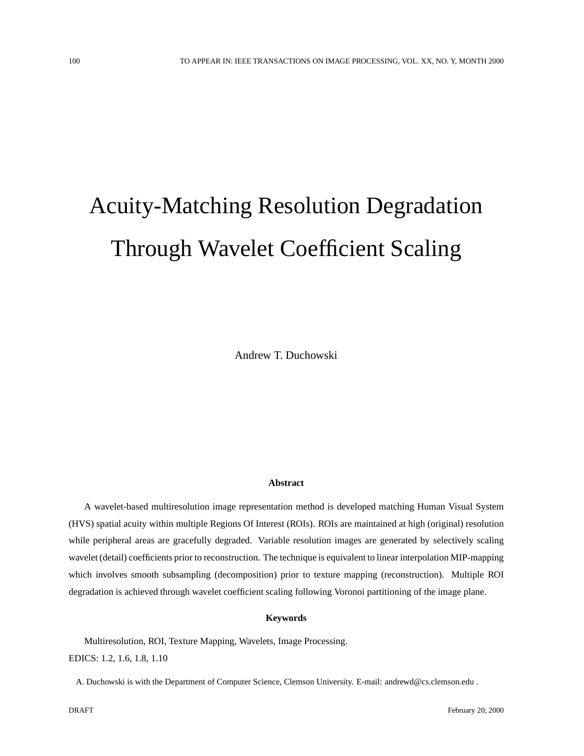# Acuity-Matching Resolution Degradation Through Wavelet Coefficient Scaling

Andrew T. Duchowski

#### **Abstract**

A wavelet-based multiresolution image representation method is developed matching Human Visual System (HVS) spatial acuity within multiple Regions Of Interest (ROIs). ROIs are maintained at high (original) resolution while peripheral areas are gracefully degraded. Variable resolution images are generated by selectively scaling wavelet (detail) coefficients prior to reconstruction. The technique is equivalent to linear interpolation MIP-mapping which involves smooth subsampling (decomposition) prior to texture mapping (reconstruction). Multiple ROI degradation is achieved through wavelet coefficient scaling following Voronoi partitioning of the image plane.

#### **Keywords**

Multiresolution, ROI, Texture Mapping, Wavelets, Image Processing. EDICS: 1.2, 1.6, 1.8, 1.10

A. Duchowski is with the Department of Computer Science, Clemson University. E-mail: andrewd@cs.clemson.edu .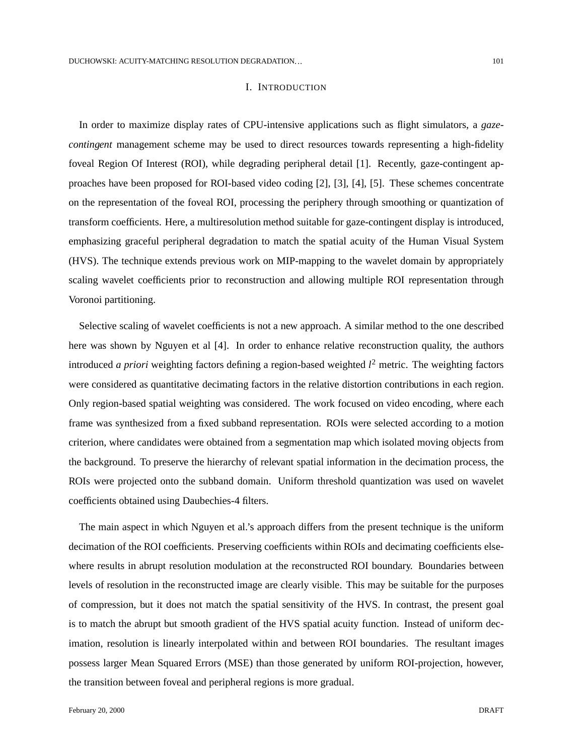#### I. INTRODUCTION

In order to maximize display rates of CPU-intensive applications such as flight simulators, a *gazecontingent* management scheme may be used to direct resources towards representing a high-fidelity foveal Region Of Interest (ROI), while degrading peripheral detail [1]. Recently, gaze-contingent approaches have been proposed for ROI-based video coding [2], [3], [4], [5]. These schemes concentrate on the representation of the foveal ROI, processing the periphery through smoothing or quantization of transform coefficients. Here, a multiresolution method suitable for gaze-contingent display is introduced, emphasizing graceful peripheral degradation to match the spatial acuity of the Human Visual System (HVS). The technique extends previous work on MIP-mapping to the wavelet domain by appropriately scaling wavelet coefficients prior to reconstruction and allowing multiple ROI representation through Voronoi partitioning.

Selective scaling of wavelet coefficients is not a new approach. A similar method to the one described here was shown by Nguyen et al [4]. In order to enhance relative reconstruction quality, the authors introduced *a priori* weighting factors defining a region-based weighted *l* <sup>2</sup> metric. The weighting factors were considered as quantitative decimating factors in the relative distortion contributions in each region. Only region-based spatial weighting was considered. The work focused on video encoding, where each frame was synthesized from a fixed subband representation. ROIs were selected according to a motion criterion, where candidates were obtained from a segmentation map which isolated moving objects from the background. To preserve the hierarchy of relevant spatial information in the decimation process, the ROIs were projected onto the subband domain. Uniform threshold quantization was used on wavelet coefficients obtained using Daubechies-4 filters.

The main aspect in which Nguyen et al.'s approach differs from the present technique is the uniform decimation of the ROI coefficients. Preserving coefficients within ROIs and decimating coefficients elsewhere results in abrupt resolution modulation at the reconstructed ROI boundary. Boundaries between levels of resolution in the reconstructed image are clearly visible. This may be suitable for the purposes of compression, but it does not match the spatial sensitivity of the HVS. In contrast, the present goal is to match the abrupt but smooth gradient of the HVS spatial acuity function. Instead of uniform decimation, resolution is linearly interpolated within and between ROI boundaries. The resultant images possess larger Mean Squared Errors (MSE) than those generated by uniform ROI-projection, however, the transition between foveal and peripheral regions is more gradual.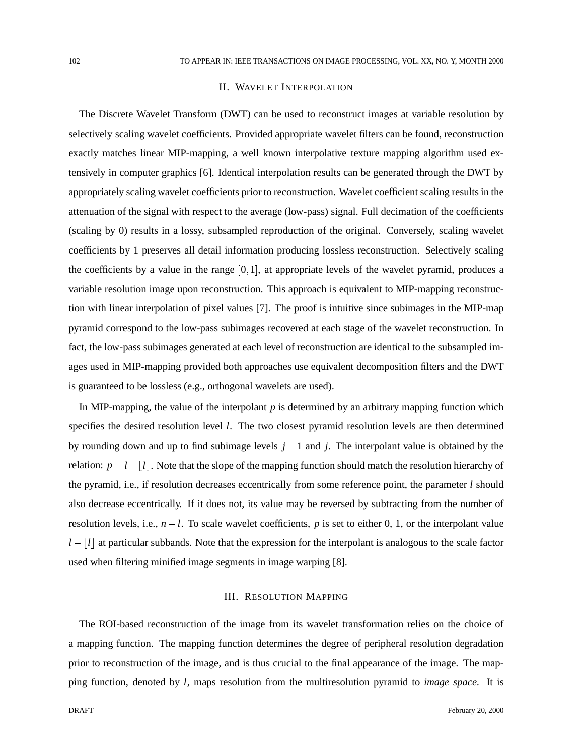## II. WAVELET INTERPOLATION

The Discrete Wavelet Transform (DWT) can be used to reconstruct images at variable resolution by selectively scaling wavelet coefficients. Provided appropriate wavelet filters can be found, reconstruction exactly matches linear MIP-mapping, a well known interpolative texture mapping algorithm used extensively in computer graphics [6]. Identical interpolation results can be generated through the DWT by appropriately scaling wavelet coefficients prior to reconstruction. Wavelet coefficient scaling resultsin the attenuation of the signal with respect to the average (low-pass) signal. Full decimation of the coefficients (scaling by 0) results in a lossy, subsampled reproduction of the original. Conversely, scaling wavelet coefficients by 1 preserves all detail information producing lossless reconstruction. Selectively scaling the coefficients by a value in the range  $[0, 1]$ , at appropriate levels of the wavelet pyramid, produces a variable resolution image upon reconstruction. This approach is equivalent to MIP-mapping reconstruction with linear interpolation of pixel values [7]. The proof is intuitive since subimages in the MIP-map pyramid correspond to the low-pass subimages recovered at each stage of the wavelet reconstruction. In fact, the low-pass subimages generated at each level of reconstruction are identical to the subsampled images used in MIP-mapping provided both approaches use equivalent decomposition filters and the DWT is guaranteed to be lossless (e.g., orthogonal wavelets are used).

In MIP-mapping, the value of the interpolant *p* is determined by an arbitrary mapping function which specifies the desired resolution level *l*. The two closest pyramid resolution levels are then determined by rounding down and up to find subimage levels  $j - 1$  and  $j$ . The interpolant value is obtained by the relation:  $p = l - |l|$ . Note that the slope of the mapping function should match the resolution hierarchy of the pyramid, i.e., if resolution decreases eccentrically from some reference point, the parameter *l* should also decrease eccentrically. If it does not, its value may be reversed by subtracting from the number of resolution levels, i.e.,  $n - l$ . To scale wavelet coefficients, p is set to either 0, 1, or the interpolant value  $l - \lfloor l \rfloor$  at particular subbands. Note that the expression for the interpolant is analogous to the scale factor used when filtering minified image segments in image warping [8].

#### III. RESOLUTION MAPPING

The ROI-based reconstruction of the image from its wavelet transformation relies on the choice of a mapping function. The mapping function determines the degree of peripheral resolution degradation prior to reconstruction of the image, and is thus crucial to the final appearance of the image. The mapping function, denoted by *l*, maps resolution from the multiresolution pyramid to *image space*. It is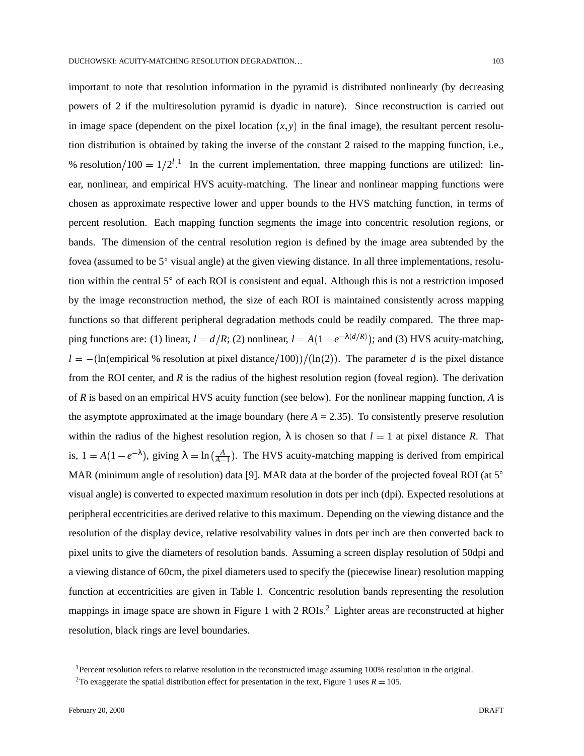important to note that resolution information in the pyramid is distributed nonlinearly (by decreasing powers of 2 if the multiresolution pyramid is dyadic in nature). Since reconstruction is carried out in image space (dependent on the pixel location  $(x, y)$  in the final image), the resultant percent resolution distribution is obtained by taking the inverse of the constant 2 raised to the mapping function, i.e., % resolution/100 =  $1/2^{l}$ .<sup>1</sup> In the current implementation, three mapping functions are utilized: linear, nonlinear, and empirical HVS acuity-matching. The linear and nonlinear mapping functions were chosen as approximate respective lower and upper bounds to the HVS matching function, in terms of percent resolution. Each mapping function segments the image into concentric resolution regions, or bands. The dimension of the central resolution region is defined by the image area subtended by the fovea (assumed to be  $5^\circ$  visual angle) at the given viewing distance. In all three implementations, resolution within the central  $5^\circ$  of each ROI is consistent and equal. Although this is not a restriction imposed by the image reconstruction method, the size of each ROI is maintained consistently across mapping functions so that different peripheral degradation methods could be readily compared. The three mapping functions are: (1) linear,  $l = d/R$ ; (2) nonlinear,  $l = A(1 - e^{-\lambda(d/R)})$ ; and (3) HVS acuity-matching,  $l = -(\ln(\text{empirical}\,\% \,\text{resolution at pixel distance}/100))/(\ln(2))$ . The parameter *d* is the pixel distance from the ROI center, and *R* is the radius of the highest resolution region (foveal region). The derivation of *R* is based on an empirical HVS acuity function (see below). For the nonlinear mapping function, *A* is the asymptote approximated at the image boundary (here  $A = 2.35$ ). To consistently preserve resolution within the radius of the highest resolution region,  $\lambda$  is chosen so that  $l = 1$  at pixel distance *R*. That is,  $1 = A(1 - e^{-\lambda})$ , giving  $\lambda = \ln\left(\frac{A}{A-1}\right)$ . The  $\frac{A}{A-1}$ ). The HVS acuity-matching mapping is derived from empirical MAR (minimum angle of resolution) data [9]. MAR data at the border of the projected foveal ROI (at 5° visual angle) is converted to expected maximum resolution in dots per inch (dpi). Expected resolutions at peripheral eccentricities are derived relative to this maximum. Depending on the viewing distance and the resolution of the display device, relative resolvability values in dots per inch are then converted back to pixel units to give the diameters of resolution bands. Assuming a screen display resolution of 50dpi and a viewing distance of 60cm, the pixel diameters used to specify the (piecewise linear) resolution mapping function at eccentricities are given in Table I. Concentric resolution bands representing the resolution mappings in image space are shown in Figure 1 with 2 ROIs.<sup>2</sup> Lighter areas are reconstructed at higher resolution, black rings are level boundaries.

<sup>&</sup>lt;sup>1</sup>Percent resolution refers to relative resolution in the reconstructed image assuming 100% resolution in the original.

<sup>&</sup>lt;sup>2</sup>To exaggerate the spatial distribution effect for presentation in the text, Figure 1 uses  $R = 105$ .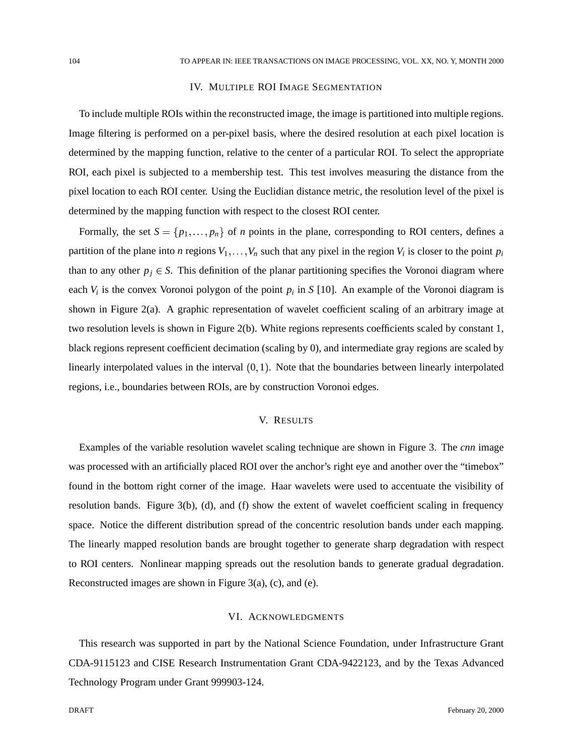## IV. MULTIPLE ROI IMAGE SEGMENTATION

To include multiple ROIs within the reconstructed image, the image is partitioned into multiple regions. Image filtering is performed on a per-pixel basis, where the desired resolution at each pixel location is determined by the mapping function, relative to the center of a particular ROI. To select the appropriate ROI, each pixel is subjected to a membership test. This test involves measuring the distance from the pixel location to each ROI center. Using the Euclidian distance metric, the resolution level of the pixel is determined by the mapping function with respect to the closest ROI center.

Formally, the set  $S = \{p_1, \ldots, p_n\}$  of *n* points in the plane, corresponding to ROI centers, defines a partition of the plane into *n* regions  $V_1, \ldots, V_n$  such that any pixel in the region  $V_i$  is closer to the point  $p_i$ than to any other  $p_j \in S$ . This definition of the planar partitioning specifies the Voronoi diagram where each  $V_i$  is the convex Voronoi polygon of the point  $p_i$  in  $S$  [10]. An example of the Voronoi diagram is shown in Figure 2(a). A graphic representation of wavelet coefficient scaling of an arbitrary image at two resolution levels is shown in Figure 2(b). White regions represents coefficients scaled by constant 1, black regions represent coefficient decimation (scaling by 0), and intermediate gray regions are scaled by linearly interpolated values in the interval  $(0, 1)$ . Note that the boundaries between linearly interpolated regions, i.e., boundaries between ROIs, are by construction Voronoi edges.

## V. RESULTS

Examples of the variable resolution wavelet scaling technique are shown in Figure 3. The *cnn* image was processed with an artificially placed ROI over the anchor's right eye and another over the "timebox" found in the bottom right corner of the image. Haar wavelets were used to accentuate the visibility of resolution bands. Figure 3(b), (d), and (f) show the extent of wavelet coefficient scaling in frequency space. Notice the different distribution spread of the concentric resolution bands under each mapping. The linearly mapped resolution bands are brought together to generate sharp degradation with respect to ROI centers. Nonlinear mapping spreads out the resolution bands to generate gradual degradation. Reconstructed images are shown in Figure 3(a), (c), and (e).

## VI. ACKNOWLEDGMENTS

This research was supported in part by the National Science Foundation, under Infrastructure Grant CDA-9115123 and CISE Research Instrumentation Grant CDA-9422123, and by the Texas Advanced Technology Program under Grant 999903-124.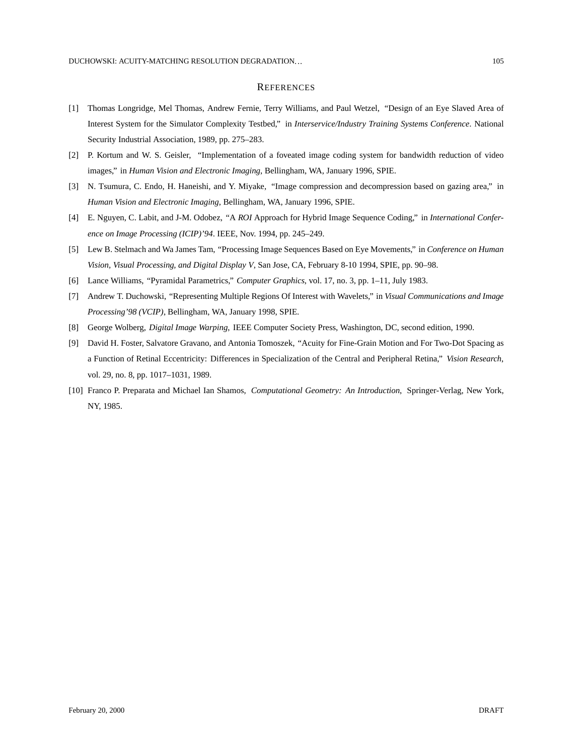#### **REFERENCES**

- [1] Thomas Longridge, Mel Thomas, Andrew Fernie, Terry Williams, and Paul Wetzel, "Design of an Eye Slaved Area of Interest System for the Simulator Complexity Testbed," in *Interservice/Industry Training Systems Conference*. National Security Industrial Association, 1989, pp. 275–283.
- [2] P. Kortum and W. S. Geisler, "Implementation of a foveated image coding system for bandwidth reduction of video images," in *Human Vision and Electronic Imaging*, Bellingham, WA, January 1996, SPIE.
- [3] N. Tsumura, C. Endo, H. Haneishi, and Y. Miyake, "Image compression and decompression based on gazing area," in *Human Vision and Electronic Imaging*, Bellingham, WA, January 1996, SPIE.
- [4] E. Nguyen, C. Labit, and J-M. Odobez, "A *ROI* Approach for Hybrid Image Sequence Coding," in *International Conference on Image Processing (ICIP)'94*. IEEE, Nov. 1994, pp. 245–249.
- [5] Lew B. Stelmach and Wa James Tam, "Processing Image Sequences Based on Eye Movements," in *Conference on Human Vision, Visual Processing, and Digital Display V*, San Jose, CA, February 8-10 1994, SPIE, pp. 90–98.
- [6] Lance Williams, "Pyramidal Parametrics," *Computer Graphics*, vol. 17, no. 3, pp. 1–11, July 1983.
- [7] Andrew T. Duchowski, "Representing Multiple Regions Of Interest with Wavelets," in *Visual Communications and Image Processing'98 (VCIP)*, Bellingham, WA, January 1998, SPIE.
- [8] George Wolberg, *Digital Image Warping*, IEEE Computer Society Press, Washington, DC, second edition, 1990.
- [9] David H. Foster, Salvatore Gravano, and Antonia Tomoszek, "Acuity for Fine-Grain Motion and For Two-Dot Spacing as a Function of Retinal Eccentricity: Differences in Specialization of the Central and Peripheral Retina," *Vision Research*, vol. 29, no. 8, pp. 1017–1031, 1989.
- [10] Franco P. Preparata and Michael Ian Shamos, *Computational Geometry: An Introduction*, Springer-Verlag, New York, NY, 1985.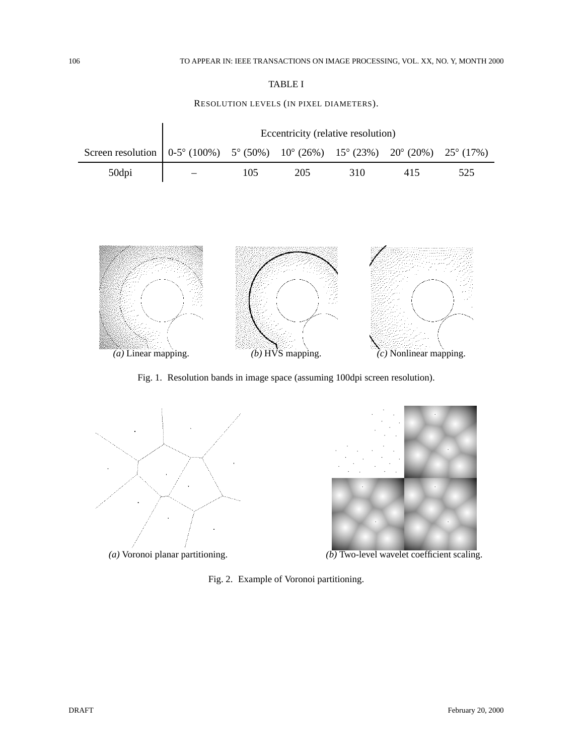# TABLE I

RESOLUTION LEVELS (IN PIXEL DIAMETERS).





Fig. 1. Resolution bands in image space (assuming 100dpi screen resolution).





*(a)* Voronoi planar partitioning. *(b)* Two-level wavelet coefficient scaling.

Fig. 2. Example of Voronoi partitioning.